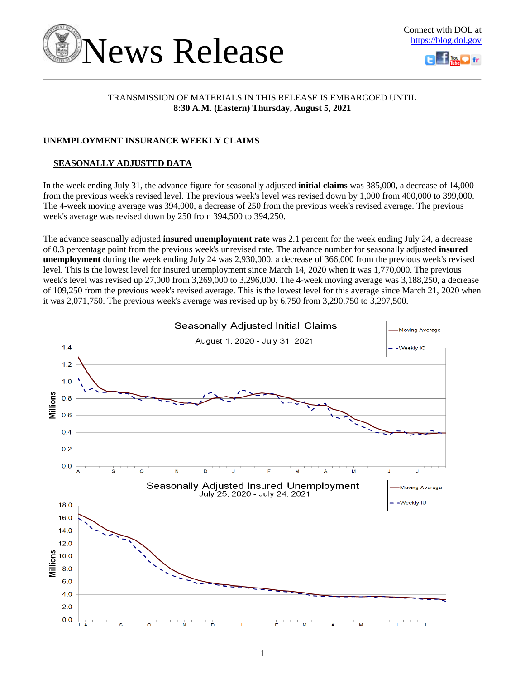



### TRANSMISSION OF MATERIALS IN THIS RELEASE IS EMBARGOED UNTIL **8:30 A.M. (Eastern) Thursday, August 5, 2021**

### **UNEMPLOYMENT INSURANCE WEEKLY CLAIMS**

### **SEASONALLY ADJUSTED DATA**

In the week ending July 31, the advance figure for seasonally adjusted **initial claims** was 385,000, a decrease of 14,000 from the previous week's revised level. The previous week's level was revised down by 1,000 from 400,000 to 399,000. The 4-week moving average was 394,000, a decrease of 250 from the previous week's revised average. The previous week's average was revised down by 250 from 394,500 to 394,250.

The advance seasonally adjusted **insured unemployment rate** was 2.1 percent for the week ending July 24, a decrease of 0.3 percentage point from the previous week's unrevised rate. The advance number for seasonally adjusted **insured unemployment** during the week ending July 24 was 2,930,000, a decrease of 366,000 from the previous week's revised level. This is the lowest level for insured unemployment since March 14, 2020 when it was 1,770,000. The previous week's level was revised up 27,000 from 3,269,000 to 3,296,000. The 4-week moving average was 3,188,250, a decrease of 109,250 from the previous week's revised average. This is the lowest level for this average since March 21, 2020 when it was 2,071,750. The previous week's average was revised up by 6,750 from 3,290,750 to 3,297,500.

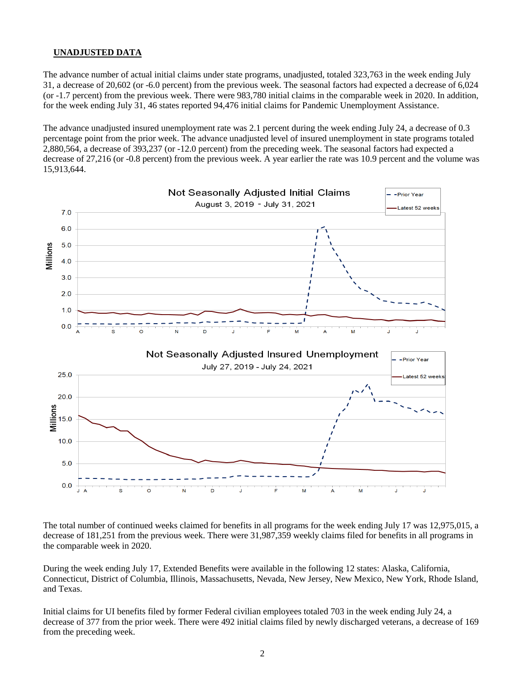### **UNADJUSTED DATA**

The advance number of actual initial claims under state programs, unadjusted, totaled 323,763 in the week ending July 31, a decrease of 20,602 (or -6.0 percent) from the previous week. The seasonal factors had expected a decrease of 6,024 (or -1.7 percent) from the previous week. There were 983,780 initial claims in the comparable week in 2020. In addition, for the week ending July 31, 46 states reported 94,476 initial claims for Pandemic Unemployment Assistance.

The advance unadjusted insured unemployment rate was 2.1 percent during the week ending July 24, a decrease of 0.3 percentage point from the prior week. The advance unadjusted level of insured unemployment in state programs totaled 2,880,564, a decrease of 393,237 (or -12.0 percent) from the preceding week. The seasonal factors had expected a decrease of 27,216 (or -0.8 percent) from the previous week. A year earlier the rate was 10.9 percent and the volume was 15,913,644.



The total number of continued weeks claimed for benefits in all programs for the week ending July 17 was 12,975,015, a decrease of 181,251 from the previous week. There were 31,987,359 weekly claims filed for benefits in all programs in the comparable week in 2020.

During the week ending July 17, Extended Benefits were available in the following 12 states: Alaska, California, Connecticut, District of Columbia, Illinois, Massachusetts, Nevada, New Jersey, New Mexico, New York, Rhode Island, and Texas.

Initial claims for UI benefits filed by former Federal civilian employees totaled 703 in the week ending July 24, a decrease of 377 from the prior week. There were 492 initial claims filed by newly discharged veterans, a decrease of 169 from the preceding week.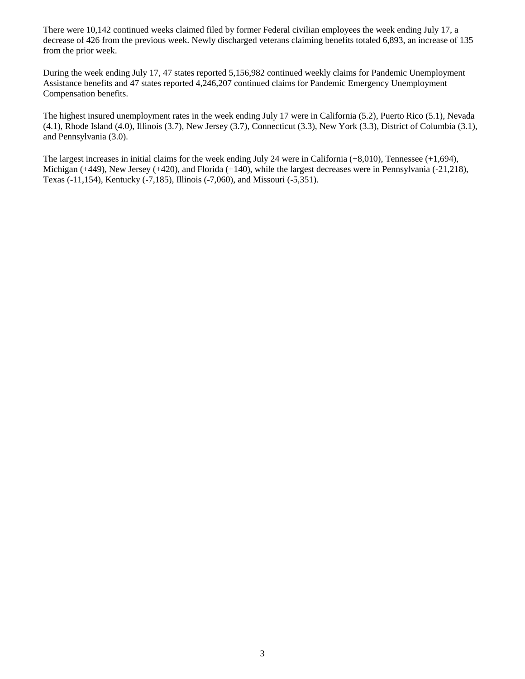There were 10,142 continued weeks claimed filed by former Federal civilian employees the week ending July 17, a decrease of 426 from the previous week. Newly discharged veterans claiming benefits totaled 6,893, an increase of 135 from the prior week.

During the week ending July 17, 47 states reported 5,156,982 continued weekly claims for Pandemic Unemployment Assistance benefits and 47 states reported 4,246,207 continued claims for Pandemic Emergency Unemployment Compensation benefits.

The highest insured unemployment rates in the week ending July 17 were in California (5.2), Puerto Rico (5.1), Nevada (4.1), Rhode Island (4.0), Illinois (3.7), New Jersey (3.7), Connecticut (3.3), New York (3.3), District of Columbia (3.1), and Pennsylvania (3.0).

The largest increases in initial claims for the week ending July 24 were in California (+8,010), Tennessee (+1,694), Michigan (+449), New Jersey (+420), and Florida (+140), while the largest decreases were in Pennsylvania (-21,218), Texas (-11,154), Kentucky (-7,185), Illinois (-7,060), and Missouri (-5,351).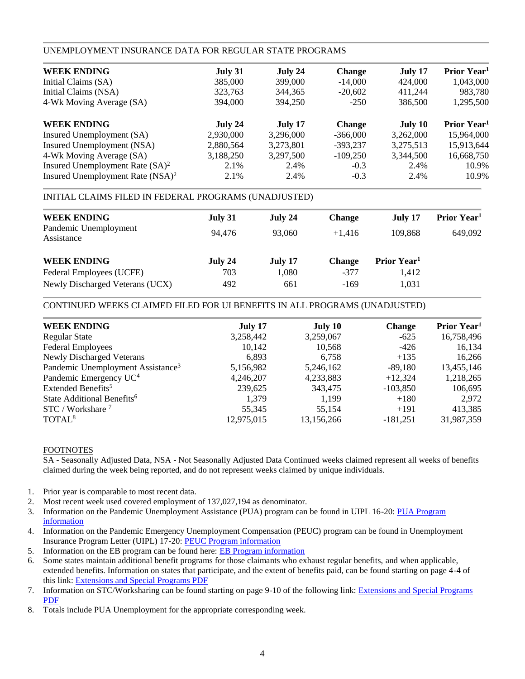### UNEMPLOYMENT INSURANCE DATA FOR REGULAR STATE PROGRAMS

| July 31   | July 24   | <b>Change</b> | July 17   | Prior Year <sup>1</sup> |
|-----------|-----------|---------------|-----------|-------------------------|
| 385,000   | 399,000   | $-14,000$     | 424,000   | 1,043,000               |
| 323,763   | 344,365   | $-20,602$     | 411,244   | 983,780                 |
| 394,000   | 394.250   | $-250$        | 386,500   | 1,295,500               |
| July 24   | July 17   | <b>Change</b> | July 10   | Prior Year <sup>1</sup> |
| 2,930,000 | 3,296,000 | $-366,000$    | 3,262,000 | 15,964,000              |
| 2,880,564 | 3,273,801 | $-393,237$    | 3,275,513 | 15,913,644              |
| 3,188,250 | 3,297,500 | $-109,250$    | 3,344,500 | 16,668,750              |
| 2.1%      | 2.4%      | $-0.3$        | 2.4%      | 10.9%                   |
| 2.1%      | 2.4%      | $-0.3$        | 2.4%      | 10.9%                   |
|           |           |               |           |                         |

### INITIAL CLAIMS FILED IN FEDERAL PROGRAMS (UNADJUSTED)

| July 31 | July 24 | <b>Change</b> | July 17                 | Prior Year <sup>1</sup> |
|---------|---------|---------------|-------------------------|-------------------------|
| 94,476  | 93,060  | $+1.416$      | 109.868                 | 649,092                 |
| July 24 | July 17 | <b>Change</b> | Prior Year <sup>1</sup> |                         |
| 703     | 1,080   | $-377$        | 1,412                   |                         |
| 492     | 661     | $-169$        | 1,031                   |                         |
|         |         |               |                         |                         |

### CONTINUED WEEKS CLAIMED FILED FOR UI BENEFITS IN ALL PROGRAMS (UNADJUSTED)

| <b>WEEK ENDING</b>                            | July 17    | July 10    | <b>Change</b> | Prior Year <sup>1</sup> |
|-----------------------------------------------|------------|------------|---------------|-------------------------|
| <b>Regular State</b>                          | 3,258,442  | 3,259,067  | $-625$        | 16,758,496              |
| <b>Federal Employees</b>                      | 10,142     | 10,568     | $-426$        | 16,134                  |
| <b>Newly Discharged Veterans</b>              | 6,893      | 6,758      | $+135$        | 16,266                  |
| Pandemic Unemployment Assistance <sup>3</sup> | 5,156,982  | 5,246,162  | $-89,180$     | 13,455,146              |
| Pandemic Emergency UC <sup>4</sup>            | 4,246,207  | 4,233,883  | $+12,324$     | 1,218,265               |
| Extended Benefits <sup>5</sup>                | 239,625    | 343,475    | $-103,850$    | 106,695                 |
| State Additional Benefits <sup>6</sup>        | 1,379      | 1,199      | $+180$        | 2,972                   |
| $STC / Workshare$ <sup>7</sup>                | 55,345     | 55,154     | $+191$        | 413,385                 |
| TOTAL <sup>8</sup>                            | 12,975,015 | 13,156,266 | $-181,251$    | 31,987,359              |
|                                               |            |            |               |                         |

### FOOTNOTES

SA - Seasonally Adjusted Data, NSA - Not Seasonally Adjusted Data Continued weeks claimed represent all weeks of benefits claimed during the week being reported, and do not represent weeks claimed by unique individuals.

- 1. Prior year is comparable to most recent data.
- 2. Most recent week used covered employment of 137,027,194 as denominator.
- 3. Information on the Pandemic Unemployment Assistance (PUA) program can be found in UIPL 16-20: [PUA Program](https://wdr.doleta.gov/directives/corr_doc.cfm?DOCN=4628)  [information](https://wdr.doleta.gov/directives/corr_doc.cfm?DOCN=4628)
- 4. Information on the Pandemic Emergency Unemployment Compensation (PEUC) program can be found in Unemployment Insurance Program Letter (UIPL) 17-20: [PEUC Program information](https://wdr.doleta.gov/directives/corr_doc.cfm?DOCN=8452)
- 5. Information on the EB program can be found here: **EB Program information**
- 6. Some states maintain additional benefit programs for those claimants who exhaust regular benefits, and when applicable, extended benefits. Information on states that participate, and the extent of benefits paid, can be found starting on page 4-4 of this link: [Extensions and Special Programs PDF](https://oui.doleta.gov/unemploy/pdf/uilawcompar/2020/special.pdf#page=4)
- 7. Information on STC/Worksharing can be found starting on page 9-10 of the following link: [Extensions and Special Programs](https://oui.doleta.gov/unemploy/pdf/uilawcompar/2020/special.pdf#page=9)  [PDF](https://oui.doleta.gov/unemploy/pdf/uilawcompar/2020/special.pdf#page=9)
- 8. Totals include PUA Unemployment for the appropriate corresponding week.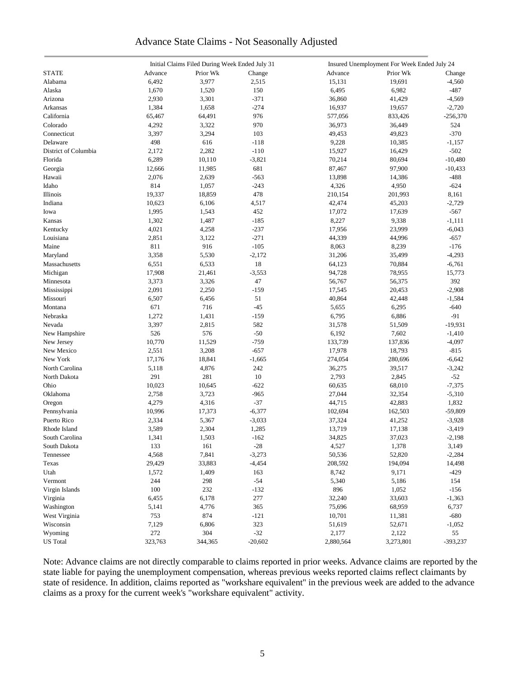### Advance State Claims - Not Seasonally Adjusted

|                      |         | Initial Claims Filed During Week Ended July 31 |           |           | Insured Unemployment For Week Ended July 24 |            |
|----------------------|---------|------------------------------------------------|-----------|-----------|---------------------------------------------|------------|
| <b>STATE</b>         | Advance | Prior Wk                                       | Change    | Advance   | Prior Wk                                    | Change     |
| Alabama              | 6,492   | 3,977                                          | 2,515     | 15,131    | 19,691                                      | $-4,560$   |
| Alaska               | 1,670   | 1,520                                          | 150       | 6,495     | 6,982                                       | $-487$     |
| Arizona              | 2,930   | 3,301                                          | $-371$    | 36,860    | 41,429                                      | $-4,569$   |
| Arkansas             | 1,384   | 1,658                                          | $-274$    | 16,937    | 19,657                                      | $-2,720$   |
| California           | 65,467  | 64,491                                         | 976       | 577,056   | 833,426                                     | $-256,370$ |
| Colorado             | 4,292   | 3,322                                          | 970       | 36,973    | 36,449                                      | 524        |
| Connecticut          | 3,397   | 3,294                                          | 103       | 49,453    | 49,823                                      | $-370$     |
| Delaware             | 498     | 616                                            | $-118$    | 9,228     | 10,385                                      | $-1,157$   |
|                      |         |                                                |           |           |                                             |            |
| District of Columbia | 2,172   | 2,282                                          | $-110$    | 15,927    | 16,429                                      | $-502$     |
| Florida              | 6,289   | 10,110                                         | $-3,821$  | 70,214    | 80,694                                      | $-10,480$  |
| Georgia              | 12,666  | 11,985                                         | 681       | 87,467    | 97,900                                      | $-10,433$  |
| Hawaii               | 2,076   | 2,639                                          | $-563$    | 13,898    | 14,386                                      | $-488$     |
| Idaho                | 814     | 1,057                                          | $-243$    | 4,326     | 4,950                                       | $-624$     |
| Illinois             | 19,337  | 18,859                                         | 478       | 210,154   | 201,993                                     | 8,161      |
| Indiana              | 10,623  | 6,106                                          | 4,517     | 42,474    | 45,203                                      | $-2,729$   |
| Iowa                 | 1,995   | 1,543                                          | 452       | 17,072    | 17,639                                      | $-567$     |
| Kansas               | 1,302   | 1,487                                          | $-185$    | 8,227     | 9,338                                       | $-1,111$   |
| Kentucky             | 4,021   | 4,258                                          | $-237$    | 17,956    | 23,999                                      | $-6,043$   |
| Louisiana            | 2,851   | 3,122                                          | $-271$    | 44,339    | 44,996                                      | $-657$     |
| Maine                | 811     | 916                                            | $-105$    | 8,063     | 8,239                                       | $-176$     |
| Maryland             | 3,358   | 5,530                                          | $-2,172$  | 31,206    | 35,499                                      | $-4,293$   |
| Massachusetts        | 6,551   | 6,533                                          | 18        | 64,123    | 70,884                                      | $-6,761$   |
| Michigan             | 17,908  | 21,461                                         | $-3,553$  | 94,728    | 78,955                                      | 15,773     |
| Minnesota            | 3,373   | 3,326                                          | 47        | 56,767    | 56,375                                      | 392        |
| Mississippi          | 2,091   | 2,250                                          | $-159$    | 17,545    | 20,453                                      | $-2,908$   |
| Missouri             | 6,507   | 6,456                                          | 51        | 40,864    | 42,448                                      | $-1,584$   |
| Montana              | 671     | 716                                            | $-45$     | 5,655     | 6,295                                       | $-640$     |
| Nebraska             | 1,272   | 1,431                                          | $-159$    | 6,795     | 6,886                                       | $-91$      |
| Nevada               | 3,397   | 2,815                                          | 582       | 31,578    | 51,509                                      | $-19,931$  |
| New Hampshire        | 526     | 576                                            | $-50$     | 6,192     | 7,602                                       | $-1,410$   |
| New Jersey           | 10,770  | 11,529                                         | $-759$    | 133,739   | 137,836                                     | $-4,097$   |
| New Mexico           | 2,551   | 3,208                                          | $-657$    | 17,978    | 18,793                                      | $-815$     |
| New York             | 17,176  | 18,841                                         | $-1,665$  | 274,054   | 280,696                                     |            |
|                      |         |                                                |           |           |                                             | $-6,642$   |
| North Carolina       | 5,118   | 4,876                                          | 242       | 36,275    | 39,517                                      | $-3,242$   |
| North Dakota         | 291     | 281                                            | 10        | 2,793     | 2,845                                       | $-52$      |
| Ohio                 | 10,023  | 10,645                                         | $-622$    | 60,635    | 68,010                                      | $-7,375$   |
| Oklahoma             | 2,758   | 3,723                                          | $-965$    | 27,044    | 32,354                                      | $-5,310$   |
| Oregon               | 4,279   | 4,316                                          | $-37$     | 44,715    | 42,883                                      | 1,832      |
| Pennsylvania         | 10,996  | 17,373                                         | $-6,377$  | 102,694   | 162,503                                     | $-59,809$  |
| Puerto Rico          | 2,334   | 5,367                                          | $-3,033$  | 37,324    | 41,252                                      | $-3,928$   |
| Rhode Island         | 3,589   | 2,304                                          | 1,285     | 13,719    | 17,138                                      | $-3,419$   |
| South Carolina       | 1,341   | 1,503                                          | $-162$    | 34,825    | 37,023                                      | $-2,198$   |
| South Dakota         | 133     | 161                                            | $-28$     | 4,527     | 1,378                                       | 3,149      |
| Tennessee            | 4,568   | 7,841                                          | $-3,273$  | 50,536    | 52,820                                      | $-2,284$   |
| Texas                | 29,429  | 33,883                                         | $-4,454$  | 208,592   | 194,094                                     | 14,498     |
| Utah                 | 1,572   | 1,409                                          | 163       | 8,742     | 9,171                                       | $-429$     |
| Vermont              | 244     | 298                                            | $-54$     | 5,340     | 5,186                                       | 154        |
| Virgin Islands       | 100     | 232                                            | $-132$    | 896       | 1,052                                       | $-156$     |
| Virginia             | 6,455   | 6,178                                          | 277       | 32,240    | 33,603                                      | $-1,363$   |
| Washington           | 5,141   | 4,776                                          | 365       | 75,696    | 68,959                                      | 6,737      |
| West Virginia        | 753     | 874                                            | $-121$    | 10,701    | 11,381                                      | $-680$     |
| Wisconsin            | 7,129   | 6,806                                          | 323       | 51,619    | 52,671                                      | $-1,052$   |
| Wyoming              | 272     | 304                                            | $-32$     | 2,177     | 2,122                                       | 55         |
| <b>US</b> Total      | 323,763 | 344,365                                        | $-20,602$ | 2,880,564 | 3,273,801                                   | $-393,237$ |
|                      |         |                                                |           |           |                                             |            |

Note: Advance claims are not directly comparable to claims reported in prior weeks. Advance claims are reported by the state liable for paying the unemployment compensation, whereas previous weeks reported claims reflect claimants by state of residence. In addition, claims reported as "workshare equivalent" in the previous week are added to the advance claims as a proxy for the current week's "workshare equivalent" activity.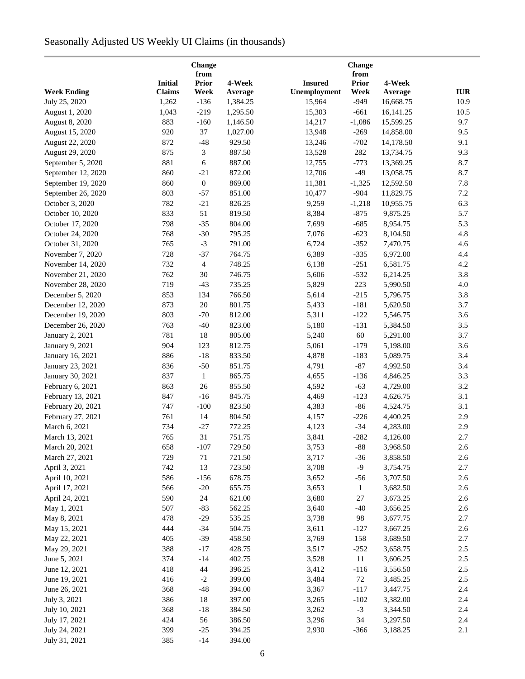# Seasonally Adjusted US Weekly UI Claims (in thousands)

|                    |                | <b>Change</b><br>from |          |                |                      |           |            |
|--------------------|----------------|-----------------------|----------|----------------|----------------------|-----------|------------|
|                    | <b>Initial</b> | <b>Prior</b>          | 4-Week   | <b>Insured</b> | from<br><b>Prior</b> | 4-Week    |            |
| <b>Week Ending</b> | <b>Claims</b>  | Week                  | Average  | Unemployment   | Week                 | Average   | <b>IUR</b> |
| July 25, 2020      | 1,262          | $-136$                | 1,384.25 | 15,964         | $-949$               | 16,668.75 | 10.9       |
| August 1, 2020     | 1,043          | $-219$                | 1,295.50 | 15,303         | $-661$               | 16,141.25 | 10.5       |
| August 8, 2020     | 883            | $-160$                | 1,146.50 | 14,217         | $-1,086$             | 15,599.25 | 9.7        |
| August 15, 2020    | 920            | 37                    | 1,027.00 | 13,948         | $-269$               | 14,858.00 | 9.5        |
| August 22, 2020    | 872            | $-48$                 | 929.50   | 13,246         | $-702$               | 14,178.50 | 9.1        |
| August 29, 2020    | 875            | 3                     | 887.50   | 13,528         | 282                  | 13,734.75 | 9.3        |
| September 5, 2020  | 881            | 6                     | 887.00   | 12,755         | $-773$               | 13,369.25 | 8.7        |
| September 12, 2020 | 860            | $-21$                 | 872.00   | 12,706         | $-49$                | 13,058.75 | 8.7        |
| September 19, 2020 | 860            | $\boldsymbol{0}$      | 869.00   | 11,381         | $-1,325$             | 12,592.50 | 7.8        |
| September 26, 2020 | 803            | $-57$                 | 851.00   | 10,477         | $-904$               | 11,829.75 | 7.2        |
| October 3, 2020    | 782            | $-21$                 | 826.25   | 9,259          | $-1,218$             | 10,955.75 | 6.3        |
| October 10, 2020   | 833            | 51                    | 819.50   | 8,384          | $-875$               | 9,875.25  | 5.7        |
| October 17, 2020   | 798            | $-35$                 | 804.00   | 7,699          | $-685$               | 8,954.75  | 5.3        |
| October 24, 2020   | 768            | $-30$                 | 795.25   | 7,076          | $-623$               | 8,104.50  | 4.8        |
| October 31, 2020   | 765            | $-3$                  | 791.00   | 6,724          | $-352$               | 7,470.75  | 4.6        |
|                    |                |                       |          |                |                      |           |            |
| November 7, 2020   | 728            | $-37$                 | 764.75   | 6,389          | $-335$               | 6,972.00  | 4.4        |
| November 14, 2020  | 732            | $\overline{4}$        | 748.25   | 6,138          | $-251$               | 6,581.75  | 4.2        |
| November 21, 2020  | 762            | 30                    | 746.75   | 5,606          | $-532$               | 6,214.25  | 3.8        |
| November 28, 2020  | 719            | $-43$                 | 735.25   | 5,829          | 223                  | 5,990.50  | 4.0        |
| December 5, 2020   | 853            | 134                   | 766.50   | 5,614          | $-215$               | 5,796.75  | 3.8        |
| December 12, 2020  | 873            | $20\,$                | 801.75   | 5,433          | $-181$               | 5,620.50  | 3.7        |
| December 19, 2020  | 803            | $-70$                 | 812.00   | 5,311          | $-122$               | 5,546.75  | 3.6        |
| December 26, 2020  | 763            | $-40$                 | 823.00   | 5,180          | $-131$               | 5,384.50  | 3.5        |
| January 2, 2021    | 781            | 18                    | 805.00   | 5,240          | 60                   | 5,291.00  | 3.7        |
| January 9, 2021    | 904            | 123                   | 812.75   | 5,061          | $-179$               | 5,198.00  | 3.6        |
| January 16, 2021   | 886            | $-18$                 | 833.50   | 4,878          | $-183$               | 5,089.75  | 3.4        |
| January 23, 2021   | 836            | $-50$                 | 851.75   | 4,791          | $-87$                | 4,992.50  | 3.4        |
| January 30, 2021   | 837            | $\mathbf{1}$          | 865.75   | 4,655          | $-136$               | 4,846.25  | 3.3        |
| February 6, 2021   | 863            | 26                    | 855.50   | 4,592          | $-63$                | 4,729.00  | 3.2        |
| February 13, 2021  | 847            | $-16$                 | 845.75   | 4,469          | $-123$               | 4,626.75  | 3.1        |
| February 20, 2021  | 747            | $-100$                | 823.50   | 4,383          | $-86$                | 4,524.75  | 3.1        |
| February 27, 2021  | 761            | 14                    | 804.50   | 4,157          | $-226$               | 4,400.25  | 2.9        |
| March 6, 2021      | 734            | $-27$                 | 772.25   | 4,123          | $-34$                | 4,283.00  | 2.9        |
| March 13, 2021     | 765            | 31                    | 751.75   | 3,841          | $-282$               | 4,126.00  | 2.7        |
| March 20, 2021     | 658            | $-107$                | 729.50   | 3,753          | $-88$                | 3,968.50  | 2.6        |
| March 27, 2021     | 729            | 71                    | 721.50   | 3,717          | $-36$                | 3,858.50  | 2.6        |
| April 3, 2021      | 742            | 13                    | 723.50   | 3,708          | $-9$                 | 3,754.75  | 2.7        |
| April 10, 2021     | 586            | $-156$                | 678.75   | 3,652          | $-56$                | 3,707.50  | 2.6        |
| April 17, 2021     | 566            | $-20$                 | 655.75   | 3,653          | $\mathbf{1}$         | 3,682.50  | 2.6        |
| April 24, 2021     | 590            | 24                    | 621.00   | 3,680          | $27\,$               | 3,673.25  | 2.6        |
| May 1, 2021        | 507            | $-83$                 | 562.25   | 3,640          | $-40$                | 3,656.25  | 2.6        |
| May 8, 2021        | 478            | $-29$                 | 535.25   | 3,738          | 98                   | 3,677.75  | 2.7        |
| May 15, 2021       | 444            | $-34$                 | 504.75   | 3,611          | $-127$               | 3,667.25  | 2.6        |
| May 22, 2021       | 405            | $-39$                 | 458.50   | 3,769          | 158                  | 3,689.50  | 2.7        |
| May 29, 2021       | 388            | $-17$                 | 428.75   | 3,517          | $-252$               | 3,658.75  | 2.5        |
| June 5, 2021       | 374            | $-14$                 | 402.75   | 3,528          | 11                   | 3,606.25  | 2.5        |
| June 12, 2021      | 418            | 44                    | 396.25   | 3,412          | $-116$               | 3,556.50  | 2.5        |
| June 19, 2021      | 416            | $-2$                  | 399.00   | 3,484          | 72                   | 3,485.25  | 2.5        |
| June 26, 2021      | 368            | $-48$                 | 394.00   | 3,367          | $-117$               | 3,447.75  | 2.4        |
| July 3, 2021       | 386            | 18                    | 397.00   | 3,265          | $-102$               | 3,382.00  | 2.4        |
| July 10, 2021      | 368            | $-18$                 | 384.50   | 3,262          | $-3$                 | 3,344.50  | 2.4        |
|                    | 424            |                       |          | 3,296          | 34                   | 3,297.50  | 2.4        |
| July 17, 2021      |                | 56                    | 386.50   |                |                      |           |            |
| July 24, 2021      | 399            | $-25$                 | 394.25   | 2,930          | $-366$               | 3,188.25  | 2.1        |
| July 31, 2021      | 385            | $-14$                 | 394.00   |                |                      |           |            |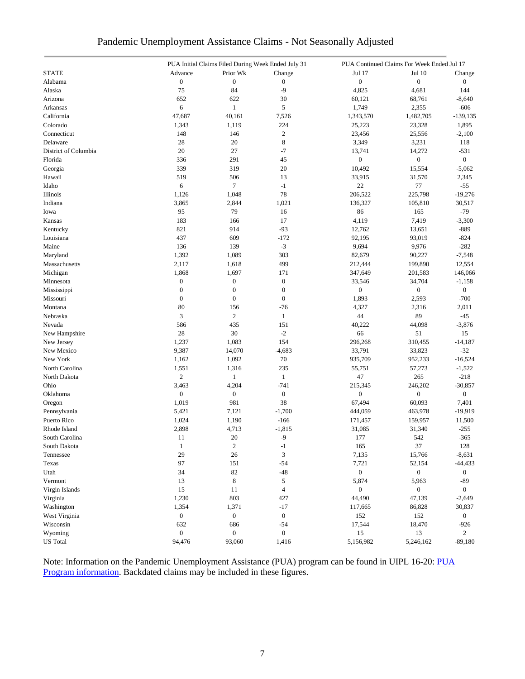| Pandemic Unemployment Assistance Claims - Not Seasonally Adjusted |  |
|-------------------------------------------------------------------|--|
|-------------------------------------------------------------------|--|

|                      |                  | PUA Initial Claims Filed During Week Ended July 31 |                          | PUA Continued Claims For Week Ended Jul 17 |                  |                  |  |
|----------------------|------------------|----------------------------------------------------|--------------------------|--------------------------------------------|------------------|------------------|--|
| <b>STATE</b>         | Advance          | Prior Wk                                           | Change                   | Jul 17                                     | Jul 10           | Change           |  |
| Alabama              | $\boldsymbol{0}$ | $\boldsymbol{0}$                                   | $\boldsymbol{0}$         | $\overline{0}$                             | $\overline{0}$   | $\boldsymbol{0}$ |  |
| Alaska               | 75               | 84                                                 | $-9$                     | 4,825                                      | 4,681            | 144              |  |
| Arizona              | 652              | 622                                                | 30                       | 60,121                                     | 68,761           | $-8,640$         |  |
| Arkansas             | 6                | 1                                                  | 5                        | 1,749                                      | 2,355            | -606             |  |
| California           | 47,687           | 40,161                                             | 7,526                    | 1,343,570                                  | 1,482,705        | $-139, 135$      |  |
| Colorado             | 1,343            | 1,119                                              | 224                      | 25,223                                     | 23,328           | 1,895            |  |
| Connecticut          | 148              | 146                                                | $\overline{c}$           | 23,456                                     | 25,556           | $-2,100$         |  |
| Delaware             | 28               | 20                                                 | 8                        | 3,349                                      | 3,231            | 118              |  |
| District of Columbia | 20               | 27                                                 | $-7$                     | 13,741                                     | 14,272           | $-531$           |  |
| Florida              | 336              | 291                                                | 45                       | $\boldsymbol{0}$                           | $\boldsymbol{0}$ | $\boldsymbol{0}$ |  |
| Georgia              | 339              | 319                                                | 20                       | 10,492                                     | 15,554           | $-5,062$         |  |
| Hawaii               | 519              | 506                                                | 13                       | 33,915                                     | 31,570           | 2,345            |  |
| Idaho                | 6                | $\tau$                                             | $-1$                     | $22\,$                                     | 77               | $-55$            |  |
| Illinois             | 1,126            | 1,048                                              | 78                       | 206,522                                    | 225,798          | $-19,276$        |  |
| Indiana              | 3,865            | 2,844                                              | 1,021                    | 136,327                                    | 105,810          | 30,517           |  |
| Iowa                 | 95               | 79                                                 | 16                       | 86                                         | 165              | $-79$            |  |
|                      | 183              |                                                    | 17                       |                                            |                  |                  |  |
| Kansas               |                  | 166                                                |                          | 4,119                                      | 7,419            | $-3,300$         |  |
| Kentucky             | 821              | 914                                                | $-93$                    | 12,762                                     | 13,651           | $-889$           |  |
| Louisiana            | 437              | 609                                                | $-172$                   | 92,195                                     | 93,019           | $-824$           |  |
| Maine                | 136              | 139                                                | $-3$                     | 9,694                                      | 9,976            | $-282$           |  |
| Maryland             | 1,392            | 1,089                                              | 303                      | 82,679                                     | 90,227           | $-7,548$         |  |
| Massachusetts        | 2,117            | 1,618                                              | 499                      | 212,444                                    | 199,890          | 12,554           |  |
| Michigan             | 1,868            | 1,697                                              | 171                      | 347,649                                    | 201,583          | 146,066          |  |
| Minnesota            | $\boldsymbol{0}$ | $\boldsymbol{0}$                                   | $\boldsymbol{0}$         | 33,546                                     | 34,704           | $-1,158$         |  |
| Mississippi          | $\boldsymbol{0}$ | $\boldsymbol{0}$                                   | $\boldsymbol{0}$         | $\overline{0}$                             | $\boldsymbol{0}$ | $\overline{0}$   |  |
| Missouri             | $\boldsymbol{0}$ | $\boldsymbol{0}$                                   | $\boldsymbol{0}$         | 1,893                                      | 2,593            | $-700$           |  |
| Montana              | 80               | 156                                                | $-76$                    | 4,327                                      | 2,316            | 2,011            |  |
| Nebraska             | 3                | $\overline{c}$                                     | $\mathbf{1}$             | 44                                         | 89               | $-45$            |  |
| Nevada               | 586              | 435                                                | 151                      | 40,222                                     | 44,098           | $-3,876$         |  |
| New Hampshire        | 28               | 30                                                 | $-2$                     | 66                                         | 51               | 15               |  |
| New Jersey           | 1,237            | 1,083                                              | 154                      | 296,268                                    | 310,455          | $-14,187$        |  |
| New Mexico           | 9,387            | 14,070                                             | $-4,683$                 | 33,791                                     | 33,823           | $-32$            |  |
| New York             | 1,162            | 1,092                                              | 70                       | 935,709                                    | 952,233          | $-16,524$        |  |
| North Carolina       | 1,551            | 1,316                                              | 235                      | 55,751                                     | 57,273           | $-1,522$         |  |
| North Dakota         | $\overline{c}$   | $\mathbf{1}$                                       | $\mathbf{1}$             | 47                                         | 265              | $-218$           |  |
| Ohio                 | 3,463            | 4,204                                              | $-741$                   | 215,345                                    | 246,202          | $-30,857$        |  |
| Oklahoma             | $\overline{0}$   | $\boldsymbol{0}$                                   | $\boldsymbol{0}$         | $\overline{0}$                             | $\overline{0}$   | $\overline{0}$   |  |
| Oregon               | 1,019            | 981                                                | 38                       | 67,494                                     | 60,093           | 7,401            |  |
| Pennsylvania         | 5,421            | 7,121                                              | $-1,700$                 | 444,059                                    | 463,978          | $-19,919$        |  |
| Puerto Rico          | 1,024            | 1,190                                              | $-166$                   | 171,457                                    | 159,957          | 11,500           |  |
| Rhode Island         | 2,898            | 4,713                                              | $-1,815$                 | 31,085                                     | 31,340           | $-255$           |  |
| South Carolina       | 11               | 20                                                 | $-9$                     | 177                                        | 542              | $-365$           |  |
| South Dakota         | $\mathbf{1}$     | $\overline{c}$                                     | $-1$                     | 165                                        | 37               | 128              |  |
| Tennessee            | 29               | 26                                                 | 3                        | 7,135                                      | 15,766           | $-8,631$         |  |
| Texas                | 97               | 151                                                | $-54$                    | 7,721                                      | 52,154           | $-44,433$        |  |
| Utah                 | 34               | 82                                                 | $-48$                    | $\overline{0}$                             | $\overline{0}$   | $\boldsymbol{0}$ |  |
| Vermont              | 13               | 8                                                  | 5                        | 5,874                                      | 5,963            | $-89$            |  |
| Virgin Islands       | 15               | 11                                                 | $\overline{\mathcal{L}}$ | $\mathbf{0}$                               | $\boldsymbol{0}$ | $\overline{0}$   |  |
| Virginia             | 1,230            | 803                                                | 427                      | 44,490                                     | 47,139           | $-2,649$         |  |
| Washington           | 1,354            | 1,371                                              | $-17$                    | 117,665                                    | 86,828           | 30,837           |  |
| West Virginia        | $\boldsymbol{0}$ | $\boldsymbol{0}$                                   | $\boldsymbol{0}$         | 152                                        | 152              | $\overline{0}$   |  |
| Wisconsin            | 632              | 686                                                | $-54$                    | 17,544                                     | 18,470           | $-926$           |  |
| Wyoming              | $\mathbf{0}$     | $\boldsymbol{0}$                                   | $\boldsymbol{0}$         | 15                                         | 13               | $\overline{2}$   |  |
| <b>US</b> Total      | 94,476           | 93,060                                             | 1,416                    | 5,156,982                                  | 5,246,162        | $-89,180$        |  |
|                      |                  |                                                    |                          |                                            |                  |                  |  |

Note: Information on the Pandemic Unemployment Assistance (PUA) program can be found in UIPL 16-20: PUA [Program information.](https://wdr.doleta.gov/directives/corr_doc.cfm?DOCN=4628) Backdated claims may be included in these figures.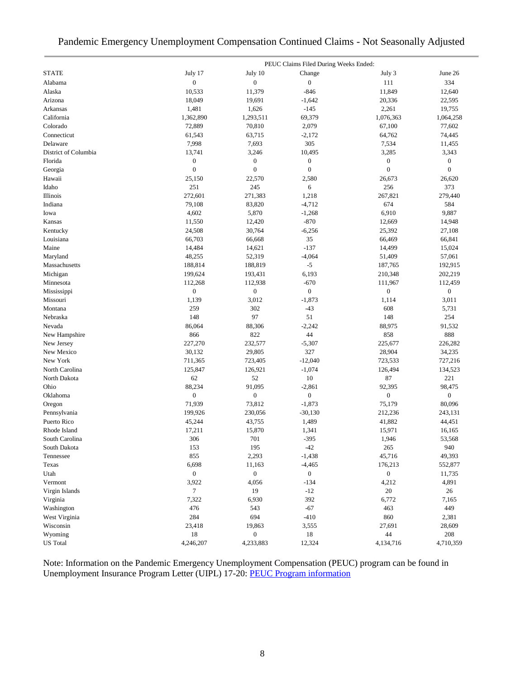## Pandemic Emergency Unemployment Compensation Continued Claims - Not Seasonally Adjusted

|                      |                             |                  | PEUC Claims Filed During Weeks Ended: |                             |                             |
|----------------------|-----------------------------|------------------|---------------------------------------|-----------------------------|-----------------------------|
| <b>STATE</b>         | July 17                     | July 10          | Change                                | July 3                      | June 26                     |
| Alabama              | $\boldsymbol{0}$            | $\boldsymbol{0}$ | $\boldsymbol{0}$                      | 111                         | 334                         |
| Alaska               | 10,533                      | 11,379           | $-846$                                | 11,849                      | 12,640                      |
| Arizona              | 18,049                      | 19,691           | $-1,642$                              | 20,336                      | 22,595                      |
| Arkansas             | 1,481                       | 1,626            | $-145$                                | 2,261                       | 19,755                      |
| California           | 1,362,890                   | 1,293,511        | 69,379                                | 1,076,363                   | 1,064,258                   |
| Colorado             | 72,889                      | 70,810           | 2,079                                 | 67,100                      | 77,602                      |
| Connecticut          | 61,543                      | 63,715           | $-2,172$                              | 64,762                      | 74,445                      |
| Delaware             | 7,998                       | 7,693            | 305                                   | 7,534                       | 11,455                      |
| District of Columbia | 13,741                      | 3,246            | 10,495                                | 3,285                       | 3,343                       |
| Florida              | $\boldsymbol{0}$            | $\boldsymbol{0}$ | $\boldsymbol{0}$                      | $\boldsymbol{0}$            | $\mathbf{0}$                |
| Georgia              | $\overline{0}$              | $\boldsymbol{0}$ | $\boldsymbol{0}$                      | $\mathbf{0}$                | $\mathbf{0}$                |
| Hawaii               | 25,150                      | 22,570           | 2,580                                 | 26,673                      | 26,620                      |
| Idaho                | 251                         | 245              | 6                                     | 256                         | 373                         |
| Illinois             | 272,601                     | 271,383          | 1,218                                 | 267,821                     | 279,440                     |
| Indiana              | 79,108                      | 83,820           | $-4,712$                              | 674                         | 584                         |
| Iowa                 | 4,602                       | 5,870            | $-1,268$                              | 6,910                       | 9,887                       |
| Kansas               | 11,550                      | 12,420           | $-870$                                | 12,669                      | 14,948                      |
| Kentucky             | 24,508                      | 30,764           | $-6,256$                              | 25,392                      | 27,108                      |
| Louisiana            | 66,703                      | 66,668           | 35                                    | 66,469                      | 66,841                      |
| Maine                | 14,484                      | 14,621           | $-137$                                | 14,499                      | 15,024                      |
| Maryland             | 48,255                      | 52,319           | $-4,064$                              | 51,409                      | 57,061                      |
| Massachusetts        | 188,814                     |                  | $-5$                                  | 187,765                     | 192,915                     |
|                      |                             | 188,819          |                                       |                             |                             |
| Michigan             | 199,624                     | 193,431          | 6,193                                 | 210,348                     | 202,219                     |
| Minnesota            | 112,268<br>$\boldsymbol{0}$ | 112,938          | $-670$<br>$\boldsymbol{0}$            | 111,967<br>$\boldsymbol{0}$ | 112,459<br>$\boldsymbol{0}$ |
| Mississippi          |                             | $\boldsymbol{0}$ |                                       |                             |                             |
| Missouri             | 1,139                       | 3,012            | $-1,873$                              | 1,114                       | 3,011                       |
| Montana              | 259                         | 302              | $-43$                                 | 608                         | 5,731                       |
| Nebraska             | 148                         | 97               | 51                                    | 148                         | 254                         |
| Nevada               | 86,064                      | 88,306           | $-2,242$                              | 88,975                      | 91,532                      |
| New Hampshire        | 866                         | 822              | 44                                    | 858                         | 888                         |
| New Jersey           | 227,270                     | 232,577          | $-5,307$                              | 225,677                     | 226,282                     |
| New Mexico           | 30,132                      | 29,805           | 327                                   | 28,904                      | 34,235                      |
| New York             | 711,365                     | 723,405          | $-12,040$                             | 723,533                     | 727,216                     |
| North Carolina       | 125,847                     | 126,921          | $-1,074$                              | 126,494                     | 134,523                     |
| North Dakota         | 62                          | 52               | 10                                    | 87                          | 221                         |
| Ohio                 | 88,234                      | 91,095           | $-2,861$                              | 92,395                      | 98,475                      |
| Oklahoma             | $\boldsymbol{0}$            | $\boldsymbol{0}$ | $\boldsymbol{0}$                      | $\boldsymbol{0}$            | $\boldsymbol{0}$            |
| Oregon               | 71,939                      | 73,812           | $-1,873$                              | 75,179                      | 80,096                      |
| Pennsylvania         | 199,926                     | 230,056          | $-30,130$                             | 212,236                     | 243,131                     |
| Puerto Rico          | 45,244                      | 43,755           | 1,489                                 | 41,882                      | 44,451                      |
| Rhode Island         | 17,211                      | 15,870           | 1,341                                 | 15,971                      | 16,165                      |
| South Carolina       | 306                         | 701              | $-395$                                | 1,946                       | 53,568                      |
| South Dakota         | 153                         | 195              | $-42$                                 | 265                         | 940                         |
| Tennessee            | 855                         | 2,293            | $-1,438$                              | 45,716                      | 49,393                      |
| Texas                | 6,698                       | 11,163           | $-4,465$                              | 176,213                     | 552,877                     |
| Utah                 | $\overline{0}$              | $\boldsymbol{0}$ | $\boldsymbol{0}$                      | $\boldsymbol{0}$            | 11,735                      |
| Vermont              | 3,922                       | 4,056            | $-134$                                | 4,212                       | 4,891                       |
| Virgin Islands       | 7                           | 19               | $-12$                                 | 20                          | 26                          |
| Virginia             | 7,322                       | 6,930            | 392                                   | 6,772                       | 7,165                       |
| Washington           | 476                         | 543              | $-67$                                 | 463                         | 449                         |
| West Virginia        | 284                         | 694              | $-410$                                | 860                         | 2,381                       |
| Wisconsin            | 23,418                      | 19,863           | 3,555                                 | 27,691                      | 28,609                      |
| Wyoming              | 18                          | $\boldsymbol{0}$ | 18                                    | 44                          | 208                         |
| <b>US</b> Total      | 4,246,207                   | 4,233,883        | 12,324                                | 4,134,716                   | 4,710,359                   |

Note: Information on the Pandemic Emergency Unemployment Compensation (PEUC) program can be found in Unemployment Insurance Program Letter (UIPL) 17-20: [PEUC Program information](https://wdr.doleta.gov/directives/corr_doc.cfm?DOCN=8452)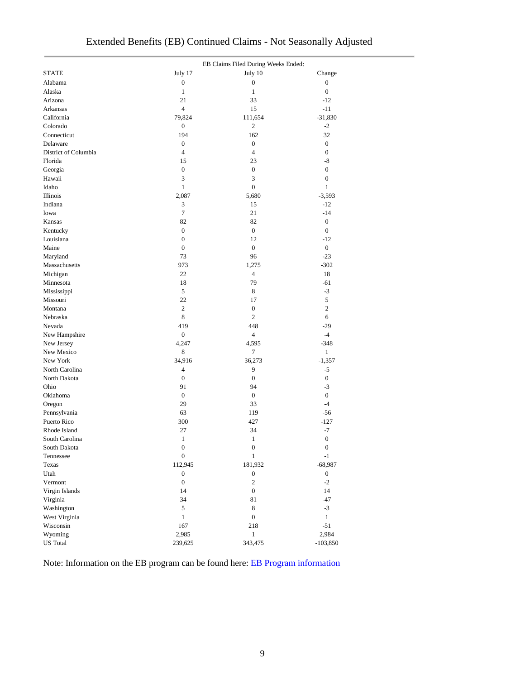|                      |                  | EB Claims Filed During Weeks Ended: |                  |
|----------------------|------------------|-------------------------------------|------------------|
| <b>STATE</b>         | July 17          | July 10                             | Change           |
| Alabama              | $\boldsymbol{0}$ | $\boldsymbol{0}$                    | $\boldsymbol{0}$ |
| Alaska               | $\mathbf{1}$     | $\mathbf{1}$                        | $\mathbf{0}$     |
| Arizona              | 21               | 33                                  | $-12$            |
| Arkansas             | 4                | 15                                  | $-11$            |
| California           | 79,824           | 111,654                             | $-31,830$        |
| Colorado             | $\boldsymbol{0}$ | $\overline{c}$                      | $-2$             |
| Connecticut          | 194              | 162                                 | 32               |
| Delaware             | $\boldsymbol{0}$ | $\boldsymbol{0}$                    | $\boldsymbol{0}$ |
| District of Columbia | 4                | 4                                   | $\boldsymbol{0}$ |
| Florida              | 15               | 23                                  | -8               |
| Georgia              | $\boldsymbol{0}$ | $\boldsymbol{0}$                    | $\boldsymbol{0}$ |
| Hawaii               | 3                | 3                                   | $\boldsymbol{0}$ |
| Idaho                | $\mathbf{1}$     | 0                                   | $\mathbf{1}$     |
| Illinois             | 2,087            | 5,680                               | $-3,593$         |
| Indiana              | 3                | 15                                  | $-12$            |
| Iowa                 | $\overline{7}$   | 21                                  | $-14$            |
| Kansas               | 82               | 82                                  | $\boldsymbol{0}$ |
| Kentucky             | $\boldsymbol{0}$ | $\boldsymbol{0}$                    | $\mathbf{0}$     |
| Louisiana            | $\boldsymbol{0}$ | 12                                  | $-12$            |
| Maine                | $\boldsymbol{0}$ | $\boldsymbol{0}$                    | $\boldsymbol{0}$ |
| Maryland             | 73               | 96                                  | $-23$            |
| Massachusetts        | 973              | 1,275                               | $-302$           |
| Michigan             | 22               | 4                                   | 18               |
| Minnesota            | 18               | 79                                  | $-61$            |
| Mississippi          | 5                | 8                                   | $-3$             |
| Missouri             | 22               | 17                                  | 5                |
| Montana              | $\mathfrak{2}$   | $\boldsymbol{0}$                    | 2                |
| Nebraska             | 8                | $\overline{c}$                      | 6                |
| Nevada               | 419              | 448                                 | $-29$            |
| New Hampshire        | $\boldsymbol{0}$ | 4                                   | $-4$             |
| New Jersey           | 4,247            | 4,595                               | $-348$           |
| New Mexico           | $\,$ 8 $\,$      | 7                                   | $\mathbf{1}$     |
| New York             | 34,916           | 36,273                              | $-1,357$         |
| North Carolina       | 4                | 9                                   | $-5$             |
| North Dakota         | $\boldsymbol{0}$ | $\boldsymbol{0}$                    | $\boldsymbol{0}$ |
| Ohio                 | 91               | 94                                  | $-3$             |
| Oklahoma             | $\boldsymbol{0}$ | $\boldsymbol{0}$                    | $\overline{0}$   |
| Oregon               | 29               | 33                                  | $-4$             |
| Pennsylvania         | 63               | 119                                 | $-56$            |
| Puerto Rico          | 300              | 427                                 | $-127$           |
| Rhode Island         | 27               | 34                                  | $-7$             |
| South Carolina       | $\,1\,$          | 1                                   | $\boldsymbol{0}$ |
| South Dakota         | $\boldsymbol{0}$ | $\boldsymbol{0}$                    | $\boldsymbol{0}$ |
| Tennessee            | $\boldsymbol{0}$ | $\mathbf{1}$                        | $^{\rm -1}$      |
| Texas                | 112,945          | 181,932                             | $-68,987$        |
| Utah                 | $\boldsymbol{0}$ | $\boldsymbol{0}$                    | $\boldsymbol{0}$ |
| Vermont              | $\boldsymbol{0}$ | $\overline{c}$                      | $-2$             |
| Virgin Islands       | 14               | $\boldsymbol{0}$                    | 14               |
| Virginia             | 34               | 81                                  | $-47$            |
| Washington           | 5                | $\,8\,$                             | $-3$             |
| West Virginia        | $\mathbf{1}$     | $\boldsymbol{0}$                    | $\mathbf{1}$     |
| Wisconsin            | 167              | 218                                 | $-51$            |
| Wyoming              | 2,985            | $\mathbf{1}$                        | 2,984            |
| <b>US</b> Total      |                  |                                     | $-103,850$       |
|                      | 239,625          | 343,475                             |                  |

Note: Information on the EB program can be found here: [EB Program information](https://oui.doleta.gov/unemploy/extenben.asp)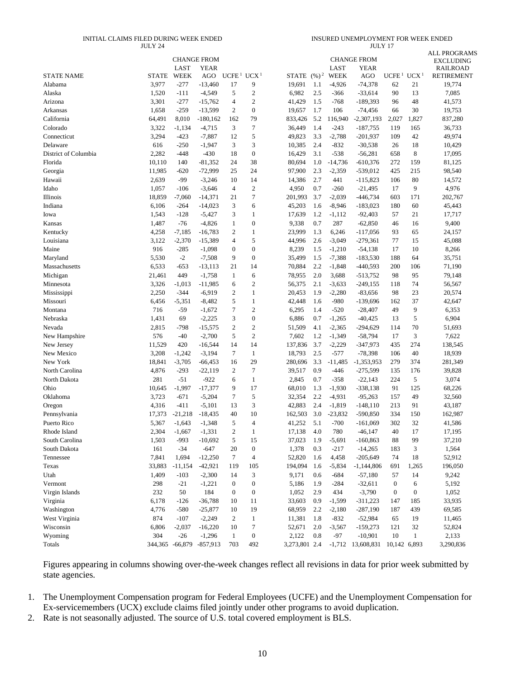#### INITIAL CLAIMS FILED DURING WEEK ENDED JULY 24

INSURED UNEMPLOYMENT FOR WEEK ENDED JULY 17

|                      |              |             | <b>CHANGE FROM</b>       |                                    |                  |                |     |             | <b>CHANGE FROM</b>  |                                    |                  | <b>ALL PROGRAMS</b><br><b>EXCLUDING</b> |
|----------------------|--------------|-------------|--------------------------|------------------------------------|------------------|----------------|-----|-------------|---------------------|------------------------------------|------------------|-----------------------------------------|
|                      |              | LAST        | <b>YEAR</b>              |                                    |                  |                |     | LAST        | YEAR                |                                    |                  | <b>RAILROAD</b>                         |
| <b>STATE NAME</b>    | <b>STATE</b> | <b>WEEK</b> | AGO                      | UCFE <sup>1</sup> UCX <sup>1</sup> |                  | STATE $(\%)^2$ |     | <b>WEEK</b> | AGO                 | UCFE <sup>1</sup> UCX <sup>1</sup> |                  | <b>RETIREMENT</b>                       |
| Alabama              | 3,977        | $-277$      | $-13,460$                | 17                                 | 9                | 19,691         | 1.1 | $-4,926$    | $-74,378$           | 62                                 | 21               | 19,774                                  |
| Alaska               | 1,520        | $-111$      | $-4,549$                 | 5                                  | $\sqrt{2}$       | 6,982          | 2.5 | $-366$      | $-33,614$           | 90                                 | 13               | 7,085                                   |
| Arizona              | 3,301        | $-277$      | $-15,762$                | 4                                  | $\sqrt{2}$       | 41,429         | 1.5 | $-768$      | $-189,393$          | 96                                 | 48               | 41,573                                  |
| Arkansas             | 1,658        | $-259$      | $-13,599$                | 2                                  | $\boldsymbol{0}$ | 19,657         | 1.7 | 106         | $-74,456$           | 66                                 | 30               | 19,753                                  |
| California           | 64,491       | 8,010       | $-180,162$               | 162                                | 79               | 833,426        | 5.2 | 116,940     | $-2,307,193$        | 2,027                              | 1,827            | 837,280                                 |
| Colorado             | 3,322        | $-1,134$    | $-4,715$                 | 3                                  | $\boldsymbol{7}$ | 36,449         | 1.4 | $-243$      | $-187,755$          | 119                                | 165              | 36,733                                  |
| Connecticut          | 3,294        | $-423$      | $-7,887$                 | 12                                 | 5                | 49,823         | 3.3 | $-2,788$    | $-201,937$          | 109                                | 42               | 49,974                                  |
| Delaware             | 616          | $-250$      | $-1,947$                 | 3                                  | 3                | 10,385         | 2.4 | $-832$      | $-30,538$           | 26                                 | 18               | 10,429                                  |
| District of Columbia | 2,282        | $-448$      | $-430$                   | 18                                 | $\boldsymbol{0}$ | 16,429         | 3.1 | $-538$      | $-56,281$           | 658                                | 8                | 17,095                                  |
| Florida              | 10,110       | 140         | $-81,352$                | 24                                 | 38               | 80,694         | 1.0 | $-14,736$   | $-610,376$          | 272                                | 159              | 81,125                                  |
| Georgia              | 11,985       | $-620$      | $-72,999$                | 25                                 | 24               | 97,900         | 2.3 | $-2,359$    | $-539,012$          | 425                                | 215              | 98,540                                  |
| Hawaii               | 2,639        | $-99$       | $-3,246$                 | 10                                 | 14               | 14,386         | 2.7 | 441         | $-115,823$          | 106                                | 80               | 14,572                                  |
| Idaho                | 1,057        | $-106$      | $-3,646$                 | $\overline{4}$                     | $\overline{2}$   | 4,950          | 0.7 | $-260$      | $-21,495$           | 17                                 | 9                | 4,976                                   |
| Illinois             | 18,859       | $-7,060$    | $-14,371$                | 21                                 | $\tau$           | 201,993        | 3.7 | $-2,039$    | $-446,734$          | 603                                | 171              | 202,767                                 |
| Indiana              | 6,106        | $-264$      | $-14,023$                | 3                                  | 6                | 45,203         | 1.6 | $-8,946$    | $-183,023$          | 180                                | 60               | 45,443                                  |
| Iowa                 | 1,543        | $-128$      | $-5,427$                 | 3                                  | $\mathbf{1}$     | 17,639         | 1.2 | $-1,112$    | $-92,403$           | 57                                 | 21               | 17,717                                  |
| Kansas               | 1,487        | $-76$       | $-4,826$                 | $\mathbf{1}$                       | $\boldsymbol{0}$ | 9,338          | 0.7 | 287         | $-62.850$           | 46                                 | 16               | 9,400                                   |
| Kentucky             | 4,258        | $-7,185$    | $-16,783$                | $\mathfrak{2}$                     | 1                | 23,999         | 1.3 | 6,246       | $-117,056$          | 93                                 | 65               | 24,157                                  |
| Louisiana            | 3,122        | $-2,370$    | $-15,389$                | 4                                  | 5                | 44,996         | 2.6 | -3,049      | $-279,361$          | 77                                 | 15               | 45,088                                  |
| Maine                | 916          | $-285$      | $-1,098$                 | $\mathbf{0}$                       | $\boldsymbol{0}$ | 8,239          | 1.5 | $-1,210$    | $-54,138$           | 17                                 | 10               | 8,266                                   |
| Maryland             | 5,530        | $-2$        | $-7,508$                 | 9                                  | $\boldsymbol{0}$ | 35,499         | 1.5 | $-7,388$    | $-183,530$          | 188                                | 64               | 35,751                                  |
| Massachusetts        | 6,533        | $-653$      | $-13,113$                | 21                                 | 14               | 70,884         | 2.2 | $-1,848$    | $-440,593$          | 200                                | 106              | 71,190                                  |
| Michigan             | 21,461       | 449         | $-1,758$                 | $\mathbf{1}$                       | 6                | 78,955         | 2.0 | 3,688       | $-513,752$          | 98                                 | 95               | 79,148                                  |
| Minnesota            | 3,326        | $-1,013$    | $-11,985$                | 6                                  | $\overline{c}$   | 56,375         | 2.1 | -3,633      | $-249,155$          | 118                                | 74               | 56,567                                  |
| Mississippi          | 2,250        | $-344$      | $-6,919$                 | 2                                  | $\mathbf{1}$     | 20,453         | 1.9 | $-2,280$    | $-83,656$           | 98                                 | 23               | 20,574                                  |
| Missouri             | 6,456        | $-5,351$    | $-8,482$                 | 5                                  | $\mathbf{1}$     | 42,448         | 1.6 | -980        | $-139,696$          | 162                                | 37               | 42,647                                  |
| Montana              | 716          | $-59$       | $-1,672$                 | 7                                  | $\overline{2}$   | 6,295          | 1.4 | $-520$      | $-28,407$           | 49                                 | 9                | 6,353                                   |
| Nebraska             | 1,431        | 69          | $-2,225$                 | 3                                  | $\boldsymbol{0}$ | 6,886          | 0.7 | -1,265      | $-40,425$           | 13                                 | 5                | 6,904                                   |
| Nevada               | 2,815        | $-798$      | $-15,575$                | 2                                  | $\overline{2}$   | 51,509         | 4.1 | $-2,365$    | $-294,629$          | 114                                | 70               | 51,693                                  |
| New Hampshire        | 576          | $-40$       | $-2,700$                 | 5                                  | $\overline{2}$   | 7,602          | 1.2 | $-1,349$    | $-58,794$           | 17                                 | 3                | 7,622                                   |
| New Jersey           | 11,529       | 420         | $-16,544$                | 14                                 | 14               | 137,836        | 3.7 | $-2,229$    | $-347,973$          | 435                                | 274              | 138,545                                 |
| New Mexico           | 3,208        | $-1,242$    | $-3,194$                 | 7                                  | $\mathbf{1}$     | 18,793         | 2.5 | $-577$      | $-78,398$           | 106                                | 40               | 18,939                                  |
| New York             | 18,841       | $-3,705$    | $-66,453$                | 16                                 | 29               | 280,696        | 3.3 | $-11,485$   | $-1,353,953$        | 279                                | 374              | 281,349                                 |
| North Carolina       | 4,876        | $-293$      | $-22,119$                | 2                                  | $\tau$           | 39,517         | 0.9 | $-446$      | $-275,599$          | 135                                | 176              | 39,828                                  |
| North Dakota         | 281          | $-51$       | $-922$                   | 6                                  | $\mathbf{1}$     | 2,845          | 0.7 | $-358$      | $-22,143$           | 224                                | 5                | 3,074                                   |
| Ohio                 | 10,645       | $-1,997$    | $-17,377$                | 9                                  | 17               | 68,010         | 1.3 | $-1,930$    | $-338,138$          | 91                                 | 125              | 68,226                                  |
| Oklahoma             | 3,723        | $-671$      | $-5,204$                 | 7                                  | 5                | 32,354         | 2.2 | $-4,931$    | $-95,263$           | 157                                | 49               | 32,560                                  |
| Oregon               | 4,316        | $-411$      | $-5,101$                 | 13                                 | 3                | 42,883         | 2.4 | $-1,819$    | $-148,110$          | 213                                | 91               | 43,187                                  |
| Pennsylvania         | 17,373       | $-21,218$   | $-18,435$                | 40                                 | 10               | 162,503        | 3.0 | $-23,832$   | $-590,850$          | 334                                | 150              | 162,987                                 |
| Puerto Rico          | 5,367        | $-1,643$    | $-1,348$                 | 5                                  | $\overline{4}$   | 41,252         | 5.1 | $-700$      | $-161,069$          | 302                                | 32               | 41,586                                  |
| Rhode Island         | 2,304        | $-1,667$    | $-1,331$                 | $\mathfrak{2}$                     | 1                | 17,138         | 4.0 | 780         | $-46,147$           | 40                                 | 17               | 17,195                                  |
| South Carolina       | 1,503        | $-993$      | $-10,692$                | 5                                  | 15               | 37,023         | 1.9 | $-5,691$    | $-160,863$          | 88                                 | 99               | 37,210                                  |
| South Dakota         | 161          | $-34$       | $-647$                   | 20                                 | $\boldsymbol{0}$ | 1,378          | 0.3 | $-217$      | $-14,265$           | 183                                | 3                | 1,564                                   |
| Tennessee            | 7,841        | 1,694       | $-12,250$                | 7                                  | $\overline{4}$   | 52,820         | 1.6 | 4,458       | $-205,649$          | 74                                 | 18               | 52,912                                  |
| Texas                | 33,883       | $-11,154$   | $-42,921$                | 119                                | 105              | 194,094        | 1.6 | $-5,834$    | $-1,144,806$        | 691                                | 1,265            | 196,050                                 |
| Utah                 | 1,409        | $-103$      | $-2,300$                 | 14                                 | 3                | 9,171          | 0.6 | $-684$      | $-57,180$           | 57                                 | 14               | 9,242                                   |
| Vermont              | 298          | $-21$       | $-1,221$                 | $\boldsymbol{0}$                   | $\boldsymbol{0}$ | 5,186          | 1.9 | $-284$      | $-32,611$           | $\boldsymbol{0}$                   | 6                | 5,192                                   |
| Virgin Islands       | 232          | 50          | 184                      | $\boldsymbol{0}$                   | $\boldsymbol{0}$ | 1,052          | 2.9 | 434         | $-3,790$            | $\boldsymbol{0}$                   | $\boldsymbol{0}$ | 1,052                                   |
| Virginia             | 6,178        | $-126$      | $-36,788$                | 10                                 | 11               | 33,603         | 0.9 | $-1,599$    | $-311,223$          | 147                                | 185              | 33,935                                  |
| Washington           | 4,776        | $-580$      | $-25,877$                | 10                                 | 19               | 68,959         | 2.2 | $-2,180$    | $-287,190$          | 187                                | 439              | 69,585                                  |
| West Virginia        | 874          | $-107$      | $-2,249$                 | 2                                  | $\mathbf{1}$     | 11,381         | 1.8 | $-832$      | $-52,984$           | 65                                 | 19               | 11,465                                  |
| Wisconsin            | 6,806        | $-2,037$    | $-16,220$                | 10                                 | $\boldsymbol{7}$ | 52,671         | 2.0 | $-3,567$    | $-159,273$          | 121                                | 32               | 52,824                                  |
| Wyoming              | 304          | $-26$       | $-1,296$                 | $\mathbf{1}$                       | $\boldsymbol{0}$ | 2,122          | 0.8 | $-97$       | $-10,901$           | 10                                 | $\mathbf{1}$     | 2,133                                   |
| Totals               |              |             | 344,365 -66,879 -857,913 | 703                                | 492              | 3,273,801 2.4  |     |             | $-1,712$ 13,608,831 | 10,142 6,893                       |                  | 3,290,836                               |
|                      |              |             |                          |                                    |                  |                |     |             |                     |                                    |                  |                                         |

Figures appearing in columns showing over-the-week changes reflect all revisions in data for prior week submitted by state agencies.

1. The Unemployment Compensation program for Federal Employees (UCFE) and the Unemployment Compensation for Ex-servicemembers (UCX) exclude claims filed jointly under other programs to avoid duplication.

2. Rate is not seasonally adjusted. The source of U.S. total covered employment is BLS.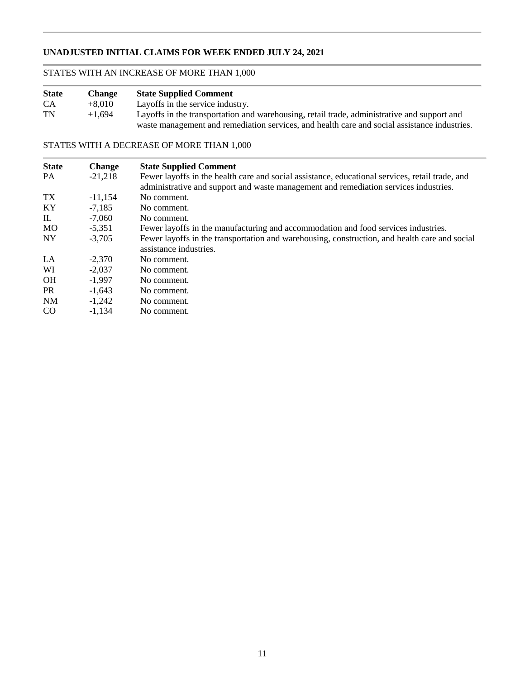### **UNADJUSTED INITIAL CLAIMS FOR WEEK ENDED JULY 24, 2021**

## STATES WITH AN INCREASE OF MORE THAN 1,000

| <b>State</b> | <b>Change</b> | <b>State Supplied Comment</b>                                                                |
|--------------|---------------|----------------------------------------------------------------------------------------------|
| CA.          | $+8.010$      | Layoffs in the service industry.                                                             |
| TN           | $+1.694$      | Layoffs in the transportation and warehousing, retail trade, administrative and support and  |
|              |               | waste management and remediation services, and health care and social assistance industries. |

### STATES WITH A DECREASE OF MORE THAN 1,000

| <b>Change</b><br>$-21,218$ | <b>State Supplied Comment</b><br>Fewer layoffs in the health care and social assistance, educational services, retail trade, and |
|----------------------------|----------------------------------------------------------------------------------------------------------------------------------|
|                            | administrative and support and waste management and remediation services industries.                                             |
|                            | No comment.                                                                                                                      |
|                            | No comment.                                                                                                                      |
| $-7.060$                   | No comment.                                                                                                                      |
| $-5,351$                   | Fewer layoffs in the manufacturing and accommodation and food services industries.                                               |
| $-3.705$                   | Fewer layoffs in the transportation and warehousing, construction, and health care and social                                    |
|                            | assistance industries.                                                                                                           |
| $-2.370$                   | No comment.                                                                                                                      |
| $-2.037$                   | No comment.                                                                                                                      |
| $-1.997$                   | No comment.                                                                                                                      |
| $-1.643$                   | No comment.                                                                                                                      |
| $-1,242$                   | No comment.                                                                                                                      |
| $-1.134$                   | No comment.                                                                                                                      |
|                            | $-11,154$<br>$-7.185$                                                                                                            |